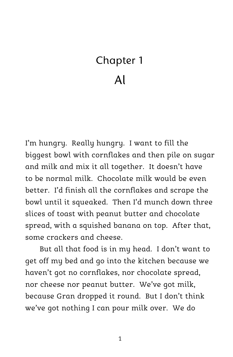## Chapter 1 Al

I'm hungry. Really hungry. I want to fill the biggest bowl with cornflakes and then pile on sugar and milk and mix it all together. It doesn't have to be normal milk. Chocolate milk would be even better. I'd finish all the cornflakes and scrape the bowl until it squeaked. Then I'd munch down three slices of toast with peanut butter and chocolate spread, with a squished banana on top. After that, some crackers and cheese.

But all that food is in my head. I don't want to get off my bed and go into the kitchen because we haven't got no cornflakes, nor chocolate spread, nor cheese nor peanut butter. We've got milk, because Gran dropped it round. But I don't think we've got nothing I can pour milk over. We do

1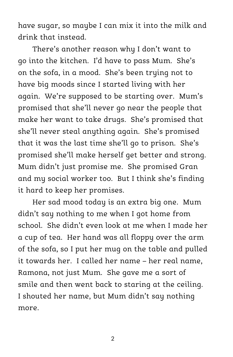have sugar, so maybe I can mix it into the milk and drink that instead.

There's another reason why I don't want to go into the kitchen. I'd have to pass Mum. She's on the sofa, in a mood. She's been trying not to have big moods since I started living with her again. We're supposed to be starting over. Mum's promised that she'll never go near the people that make her want to take drugs. She's promised that she'll never steal anything again. She's promised that it was the last time she'll go to prison. She's promised she'll make herself get better and strong. Mum didn't just promise me. She promised Gran and my social worker too. But I think she's finding it hard to keep her promises.

Her sad mood today is an extra big one. Mum didn't say nothing to me when I got home from school. She didn't even look at me when I made her a cup of tea. Her hand was all floppy over the arm of the sofa, so I put her mug on the table and pulled it towards her. I called her name – her real name, Ramona, not just Mum. She gave me a sort of smile and then went back to staring at the ceiling. I shouted her name, but Mum didn't say nothing more.

 $\overline{\mathcal{L}}$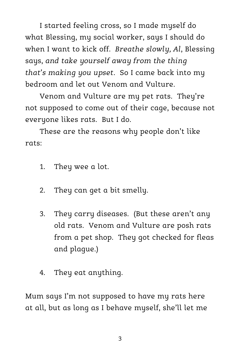I started feeling cross, so I made myself do what Blessing, my social worker, says I should do when I want to kick off. *Breathe slowly, Al*, Blessing says, *and take yourself away from the thing that's making you upset*. So I came back into my bedroom and let out Venom and Vulture.

Venom and Vulture are my pet rats. They're not supposed to come out of their cage, because not everyone likes rats. But I do.

These are the reasons why people don't like rats:

- 1. They wee a lot.
- 2. They can get a bit smelly.
- 3. They carry diseases. (But these aren't any old rats. Venom and Vulture are posh rats from a pet shop. They got checked for fleas and plague.)
- 4. They eat anything.

Mum says I'm not supposed to have my rats here at all, but as long as I behave myself, she'll let me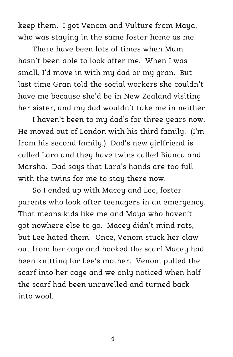keep them. I got Venom and Vulture from Maya, who was staying in the same foster home as me.

There have been lots of times when Mum hasn't been able to look after me. When I was small, I'd move in with my dad or my gran. But last time Gran told the social workers she couldn't have me because she'd be in New Zealand visiting her sister, and my dad wouldn't take me in neither.

I haven't been to my dad's for three years now. He moved out of London with his third family. (I'm from his second family.) Dad's new girlfriend is called Lara and they have twins called Bianca and Marsha. Dad says that Lara's hands are too full with the twins for me to stay there now.

So I ended up with Macey and Lee, foster parents who look after teenagers in an emergency. That means kids like me and Maya who haven't got nowhere else to go. Macey didn't mind rats, but Lee hated them. Once, Venom stuck her claw out from her cage and hooked the scarf Macey had been knitting for Lee's mother. Venom pulled the scarf into her cage and we only noticed when half the scarf had been unravelled and turned back into wool.

4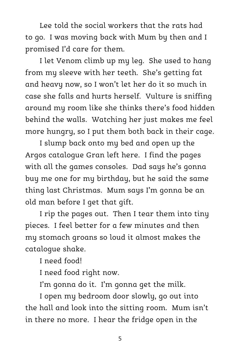Lee told the social workers that the rats had to go. I was moving back with Mum by then and I promised I'd care for them.

I let Venom climb up my leg. She used to hang from my sleeve with her teeth. She's getting fat and heavy now, so I won't let her do it so much in case she falls and hurts herself. Vulture is sniffing around my room like she thinks there's food hidden behind the walls. Watching her just makes me feel more hungry, so I put them both back in their cage.

I slump back onto my bed and open up the Argos catalogue Gran left here. I find the pages with all the games consoles. Dad says he's gonna buy me one for my birthday, but he said the same thing last Christmas. Mum says I'm gonna be an old man before I get that gift.

I rip the pages out. Then I tear them into tiny pieces. I feel better for a few minutes and then my stomach groans so loud it almost makes the catalogue shake.

I need food!

I need food right now.

I'm gonna do it. I'm gonna get the milk.

I open my bedroom door slowly, go out into the hall and look into the sitting room. Mum isn't in there no more. I hear the fridge open in the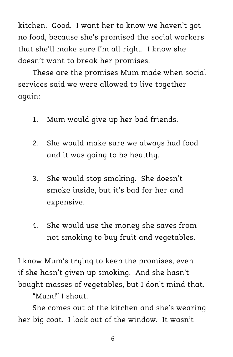kitchen. Good. I want her to know we haven't got no food, because she's promised the social workers that she'll make sure I'm all right. I know she doesn't want to break her promises.

These are the promises Mum made when social services said we were allowed to live together again:

- 1. Mum would give up her bad friends.
- 2. She would make sure we always had food and it was going to be healthy.
- 3. She would stop smoking. She doesn't smoke inside, but it's bad for her and expensive.
- 4. She would use the money she saves from not smoking to buy fruit and vegetables.

I know Mum's trying to keep the promises, even if she hasn't given up smoking. And she hasn't bought masses of vegetables, but I don't mind that.

"Mum!" I shout.

She comes out of the kitchen and she's wearing her big coat. I look out of the window. It wasn't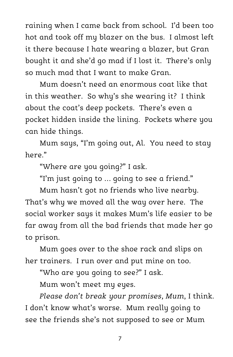raining when I came back from school. I'd been too hot and took off my blazer on the bus. I almost left it there because I hate wearing a blazer, but Gran bought it and she'd go mad if I lost it. There's only so much mad that I want to make Gran.

Mum doesn't need an enormous coat like that in this weather. So why's she wearing it? I think about the coat's deep pockets. There's even a pocket hidden inside the lining. Pockets where you can hide things.

Mum says, "I'm going out, Al. You need to stay horo"

"Where are you going?" I ask.

"I'm just going to … going to see a friend."

Mum hasn't got no friends who live nearby. That's why we moved all the way over here. The social worker says it makes Mum's life easier to be far away from all the bad friends that made her go to prison.

Mum goes over to the shoe rack and slips on her trainers. I run over and put mine on too.

"Who are you going to see?" I ask.

Mum won't meet my eyes.

*Please don't break your promises, Mum*, I think. I don't know what's worse. Mum really going to see the friends she's not supposed to see or Mum